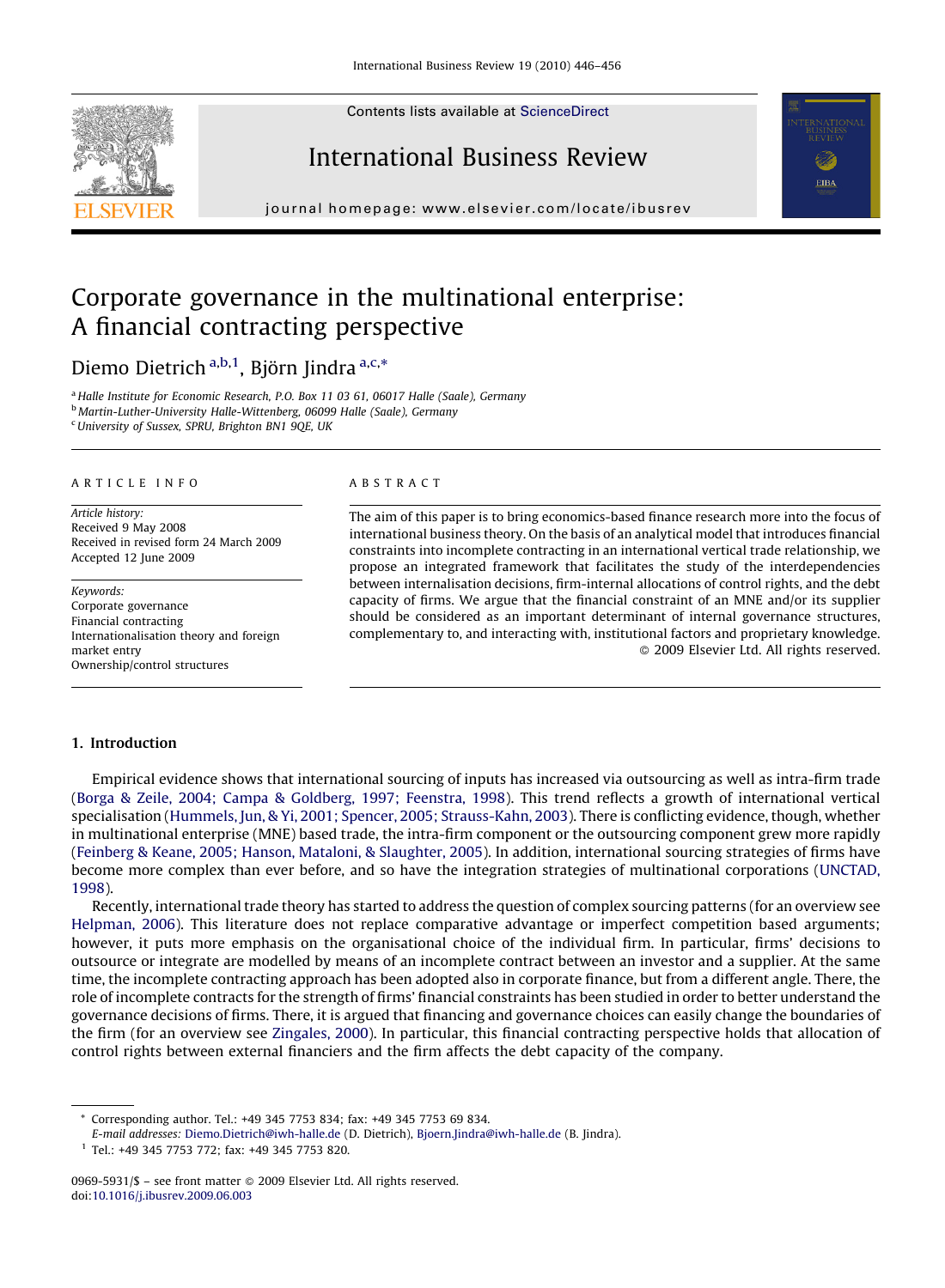Contents lists available at [ScienceDirect](http://www.sciencedirect.com/science/journal/09695931)





journal homepage: www.elsevier.com/locate/ibusrev

## Corporate governance in the multinational enterprise: A financial contracting perspective

Diemo Dietrich <sup>a,b,1</sup>, Björn Jindra <sup>a,c,\*</sup>

<sup>a</sup> Halle Institute for Economic Research, P.O. Box 11 03 61. 06017 Halle (Saale). Germanv

<sup>b</sup> Martin-Luther-University Halle-Wittenberg, 06099 Halle (Saale), Germany

<sup>c</sup>University of Sussex, SPRU, Brighton BN1 9QE, UK

#### ARTICLE INFO

Article history: Received 9 May 2008 Received in revised form 24 March 2009 Accepted 12 June 2009

Keywords: Corporate governance Financial contracting Internationalisation theory and foreign market entry Ownership/control structures

#### **ABSTRACT**

The aim of this paper is to bring economics-based finance research more into the focus of international business theory. On the basis of an analytical model that introduces financial constraints into incomplete contracting in an international vertical trade relationship, we propose an integrated framework that facilitates the study of the interdependencies between internalisation decisions, firm-internal allocations of control rights, and the debt capacity of firms. We argue that the financial constraint of an MNE and/or its supplier should be considered as an important determinant of internal governance structures, complementary to, and interacting with, institutional factors and proprietary knowledge. - 2009 Elsevier Ltd. All rights reserved.

**FIRA** 

### 1. Introduction

Empirical evidence shows that international sourcing of inputs has increased via outsourcing as well as intra-firm trade [\(Borga & Zeile, 2004; Campa & Goldberg, 1997; Feenstra, 1998](#page--1-0)). This trend reflects a growth of international vertical specialisation ([Hummels, Jun, & Yi, 2001; Spencer, 2005; Strauss-Kahn, 2003](#page--1-0)). There is conflicting evidence, though, whether in multinational enterprise (MNE) based trade, the intra-firm component or the outsourcing component grew more rapidly [\(Feinberg & Keane, 2005; Hanson, Mataloni, & Slaughter, 2005](#page--1-0)). In addition, international sourcing strategies of firms have become more complex than ever before, and so have the integration strategies of multinational corporations [\(UNCTAD,](#page--1-0) [1998](#page--1-0)).

Recently, international trade theory has started to address the question of complex sourcing patterns (for an overview see [Helpman, 2006](#page--1-0)). This literature does not replace comparative advantage or imperfect competition based arguments; however, it puts more emphasis on the organisational choice of the individual firm. In particular, firms' decisions to outsource or integrate are modelled by means of an incomplete contract between an investor and a supplier. At the same time, the incomplete contracting approach has been adopted also in corporate finance, but from a different angle. There, the role of incomplete contracts for the strength of firms' financial constraints has been studied in order to better understand the governance decisions of firms. There, it is argued that financing and governance choices can easily change the boundaries of the firm (for an overview see [Zingales, 2000](#page--1-0)). In particular, this financial contracting perspective holds that allocation of control rights between external financiers and the firm affects the debt capacity of the company.

<sup>\*</sup> Corresponding author. Tel.: +49 345 7753 834; fax: +49 345 7753 69 834.

E-mail addresses: [Diemo.Dietrich@iwh-halle.de](mailto:Diemo.Dietrich@iwh-halle.de) (D. Dietrich), [Bjoern.Jindra@iwh-halle.de](mailto:Bjoern.Jindra@iwh-halle.de) (B. Jindra).

<sup>1</sup> Tel.: +49 345 7753 772; fax: +49 345 7753 820.

<sup>0969-5931/\$ –</sup> see front matter © 2009 Elsevier Ltd. All rights reserved. doi[:10.1016/j.ibusrev.2009.06.003](http://dx.doi.org/10.1016/j.ibusrev.2009.06.003)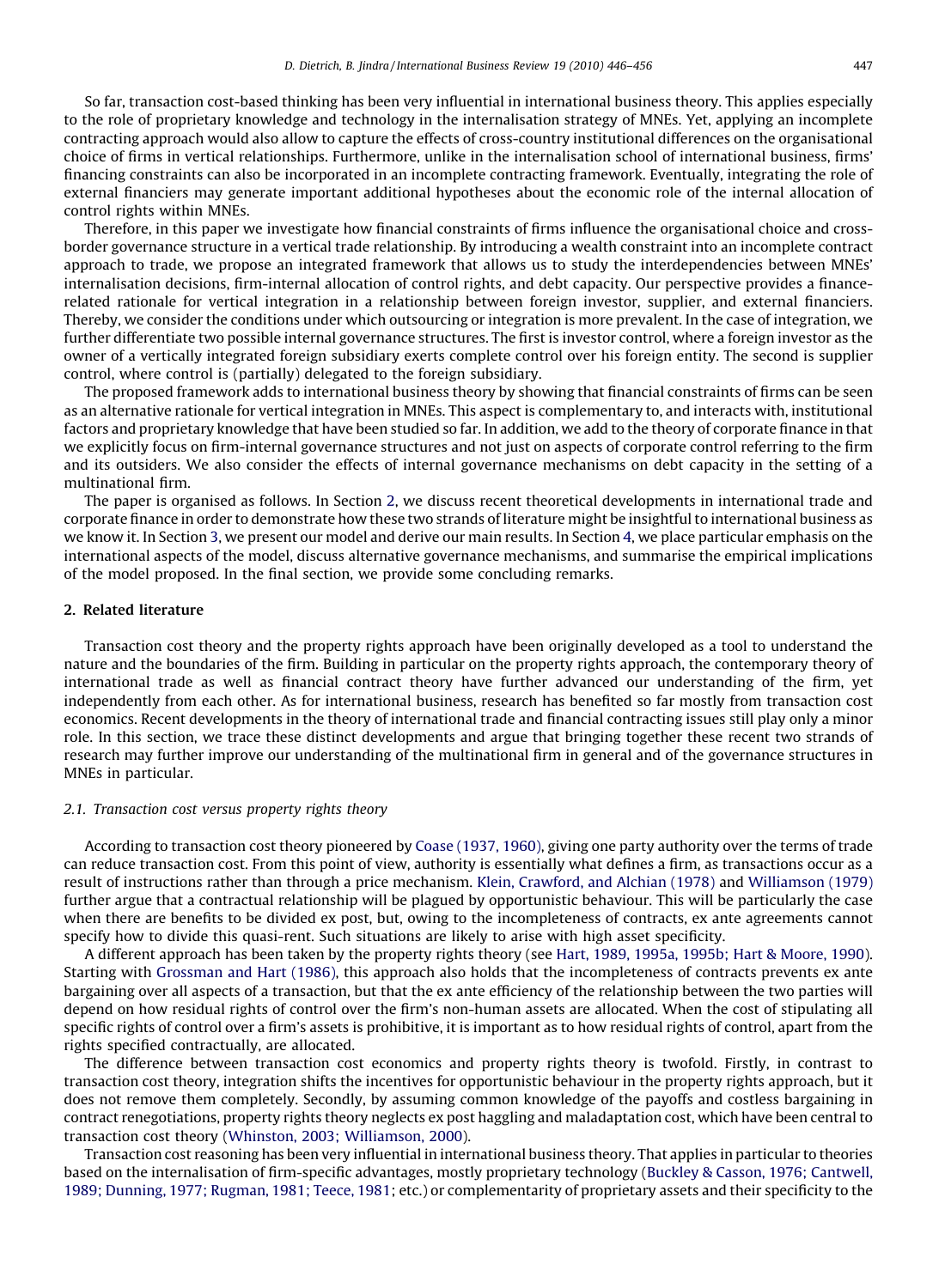So far, transaction cost-based thinking has been very influential in international business theory. This applies especially to the role of proprietary knowledge and technology in the internalisation strategy of MNEs. Yet, applying an incomplete contracting approach would also allow to capture the effects of cross-country institutional differences on the organisational choice of firms in vertical relationships. Furthermore, unlike in the internalisation school of international business, firms' financing constraints can also be incorporated in an incomplete contracting framework. Eventually, integrating the role of external financiers may generate important additional hypotheses about the economic role of the internal allocation of control rights within MNEs.

Therefore, in this paper we investigate how financial constraints of firms influence the organisational choice and crossborder governance structure in a vertical trade relationship. By introducing a wealth constraint into an incomplete contract approach to trade, we propose an integrated framework that allows us to study the interdependencies between MNEs' internalisation decisions, firm-internal allocation of control rights, and debt capacity. Our perspective provides a financerelated rationale for vertical integration in a relationship between foreign investor, supplier, and external financiers. Thereby, we consider the conditions under which outsourcing or integration is more prevalent. In the case of integration, we further differentiate two possible internal governance structures. The first is investor control, where a foreign investor as the owner of a vertically integrated foreign subsidiary exerts complete control over his foreign entity. The second is supplier control, where control is (partially) delegated to the foreign subsidiary.

The proposed framework adds to international business theory by showing that financial constraints of firms can be seen as an alternative rationale for vertical integration in MNEs. This aspect is complementary to, and interacts with, institutional factors and proprietary knowledge that have been studied so far. In addition, we add to the theory of corporate finance in that we explicitly focus on firm-internal governance structures and not just on aspects of corporate control referring to the firm and its outsiders. We also consider the effects of internal governance mechanisms on debt capacity in the setting of a multinational firm.

The paper is organised as follows. In Section 2, we discuss recent theoretical developments in international trade and corporate finance in order to demonstrate how these two strands of literature might be insightful to international business as we know it. In Section [3,](#page--1-0) we present our model and derive our main results. In Section [4](#page--1-0), we place particular emphasis on the international aspects of the model, discuss alternative governance mechanisms, and summarise the empirical implications of the model proposed. In the final section, we provide some concluding remarks.

#### 2. Related literature

Transaction cost theory and the property rights approach have been originally developed as a tool to understand the nature and the boundaries of the firm. Building in particular on the property rights approach, the contemporary theory of international trade as well as financial contract theory have further advanced our understanding of the firm, yet independently from each other. As for international business, research has benefited so far mostly from transaction cost economics. Recent developments in the theory of international trade and financial contracting issues still play only a minor role. In this section, we trace these distinct developments and argue that bringing together these recent two strands of research may further improve our understanding of the multinational firm in general and of the governance structures in MNEs in particular.

#### 2.1. Transaction cost versus property rights theory

According to transaction cost theory pioneered by [Coase \(1937, 1960\),](#page--1-0) giving one party authority over the terms of trade can reduce transaction cost. From this point of view, authority is essentially what defines a firm, as transactions occur as a result of instructions rather than through a price mechanism. [Klein, Crawford, and Alchian \(1978\)](#page--1-0) and [Williamson \(1979\)](#page--1-0) further argue that a contractual relationship will be plagued by opportunistic behaviour. This will be particularly the case when there are benefits to be divided ex post, but, owing to the incompleteness of contracts, ex ante agreements cannot specify how to divide this quasi-rent. Such situations are likely to arise with high asset specificity.

A different approach has been taken by the property rights theory (see [Hart, 1989, 1995a, 1995b; Hart & Moore, 1990](#page--1-0)). Starting with [Grossman and Hart \(1986\)](#page--1-0), this approach also holds that the incompleteness of contracts prevents ex ante bargaining over all aspects of a transaction, but that the ex ante efficiency of the relationship between the two parties will depend on how residual rights of control over the firm's non-human assets are allocated. When the cost of stipulating all specific rights of control over a firm's assets is prohibitive, it is important as to how residual rights of control, apart from the rights specified contractually, are allocated.

The difference between transaction cost economics and property rights theory is twofold. Firstly, in contrast to transaction cost theory, integration shifts the incentives for opportunistic behaviour in the property rights approach, but it does not remove them completely. Secondly, by assuming common knowledge of the payoffs and costless bargaining in contract renegotiations, property rights theory neglects ex post haggling and maladaptation cost, which have been central to transaction cost theory ([Whinston, 2003; Williamson, 2000](#page--1-0)).

Transaction cost reasoning has been very influential in international business theory. That applies in particular to theories based on the internalisation of firm-specific advantages, mostly proprietary technology ([Buckley & Casson, 1976; Cantwell,](#page--1-0) [1989; Dunning, 1977; Rugman, 1981; Teece, 1981](#page--1-0); etc.) or complementarity of proprietary assets and their specificity to the